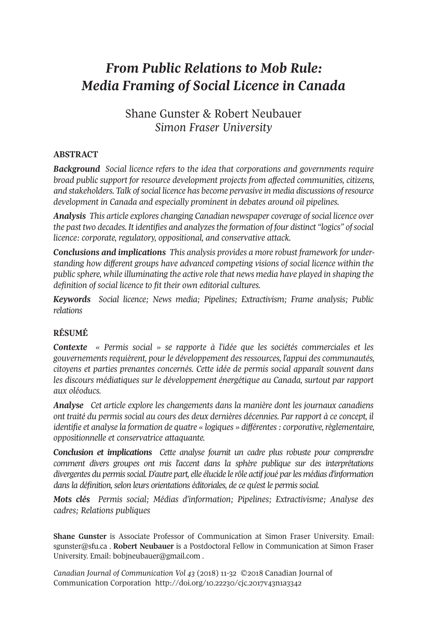# *From Public Relations to Mob Rule: Media Framing of Social Licence in Canada*

## Shane Gunster & Robert Neubauer *Simon Fraser University*

## **ABSTRACT**

*Background Social licence refers to the idea that corporations and governments require broad public support for resource development projects from affected communities, citizens, and stakeholders. Talk ofsocial licence has become pervasive in media discussions ofresource development in Canada and especially prominent in debates around oil pipelines.*

*Analysis This article explores changing Canadian newspaper coverage ofsocial licence over the past two decades. It identifies and analyzesthe formation of four distinct "logics" ofsocial licence: corporate, regulatory, oppositional, and conservative attack.*

*Conclusions and implications This analysis provides a more robust framework for understanding how different groups have advanced competing visions of social licence within the public sphere, while illuminating the active role that news media have played in shaping the definition of social licence to fit their own editorial cultures.*

*Keywords Social licence; News media; Pipelines; Extractivism; Frame analysis; Public relations*

## **RÉSUMÉ**

*Contexte « Permis social » se rapporte à l'idée que les sociétés commerciales et les gouvernements requièrent, pour le développement des ressources, l'appui des communautés, citoyens et parties prenantes concernés. Cette idée de permis social apparaît souvent dans les discours médiatiques sur le développement énergétique au Canada, surtout par rapport aux oléoducs.*

*Analyse Cet article explore les changements dans la manière dont les journaux canadiens ont traité du permis social au cours des deux dernières décennies. Par rapport à ce concept, il identifie et analyse la formation de quatre « logiques » différentes: corporative,règlementaire, oppositionnelle et conservatrice attaquante.*

*Conclusion et implications Cette analyse fournit un cadre plus robuste pour comprendre comment divers groupes ont mis l'accent dans la sphère publique sur des interprétations divergentes du permissocial.D'autre part, elle élucide le rôle actif joué parles médias d'information dansla définition,selon leurs orientations éditoriales, de ce qu'est le permissocial.*

*Mots clés Permis social; Médias d'information; Pipelines; Extractivisme; Analyse des cadres; Relations publiques*

**Shane Gunster** is Associate Professor of Communication at Simon Fraser University. Email: [sgunster@sfu.ca](mailto:sgunster@sfu.ca) . **Robert Neubauer** is a Postdoctoral Fellow in Communication at Simon Fraser University. Email: [bobjneubauer@gmail.com](mailto:bobjneubauer@gmail.com) .

*Canadian Journal of [Communication](http://www.cjc-online.ca) Vol 43* (2018) 11-32 ©2018 Canadian Journal of Communication Corporation <http://doi.org/10.22230/cjc.2017v43n1a3342>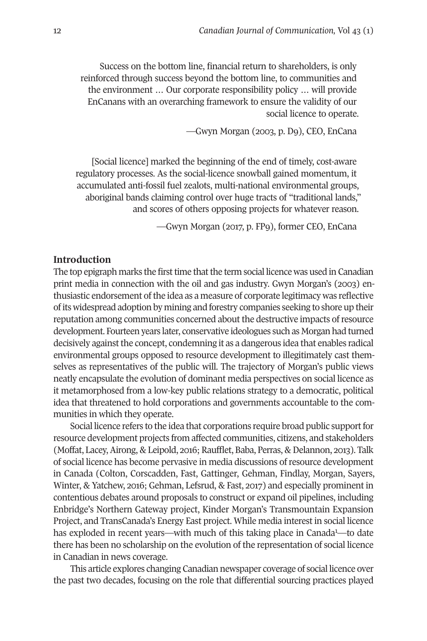Success on the bottom line, financial return to shareholders, is only reinforced through success beyond the bottom line, to communities and the environment … Our corporate responsibility policy … will provide EnCanans with an overarching framework to ensure the validity of our social licence to operate.

—Gwyn Morgan (2003, p. D9), CEO, EnCana

[Social licence] marked the beginning of the end of timely, cost-aware regulatory processes. As the social-licence snowball gained momentum, it accumulated anti-fossil fuel zealots, multi-national environmental groups, aboriginal bands claiming control over huge tracts of "traditional lands," and scores of others opposing projects for whatever reason.

—Gwyn Morgan (2017, p. FP9), former CEO, EnCana

## **Introduction**

The top epigraph marks the first time that the term social licence was used in Canadian print media in connection with the oil and gas industry. Gwyn Morgan's (2003) enthusiastic endorsement ofthe idea as a measure of corporate legitimacy was reflective of its widespread adoption by mining and forestry companies seeking to shore up their reputation among communities concerned about the destructive impacts ofresource development. Fourteen years later, conservative ideologues such as Morgan had turned decisively against the concept, condemning it as a dangerous idea that enables radical environmental groups opposed to resource development to illegitimately cast themselves as representatives of the public will. The trajectory of Morgan's public views neatly encapsulate the evolution of dominant media perspectives on social licence as it metamorphosed from a low-key public relations strategy to a democratic, political idea that threatened to hold corporations and governments accountable to the communities in which they operate.

Social licence refers to the idea that corporations require broad public support for resource development projects from affected communities, citizens, and stakeholders (Moffat, Lacey, Airong, & Leipold, 2016; Raufflet, Baba, Perras, & Delannon, 2013). Talk of social licence has become pervasive in media discussions of resource development in Canada (Colton, Corscadden, Fast, Gattinger, Gehman, Findlay, Morgan, Sayers, Winter, & Yatchew, 2016; Gehman, Lefsrud, & Fast, 2017) and especially prominent in contentious debates around proposals to construct or expand oil pipelines, including Enbridge's Northern Gateway project, Kinder Morgan's Transmountain Expansion Project, and TransCanada's Energy East project. While media interest in social licence has exploded in recent years—with much of this taking place in Canada<sup>1</sup>—to date there has been no scholarship on the evolution of the representation of social licence in Canadian in news coverage.

This article explores changing Canadian newspaper coverage of social licence over the past two decades, focusing on the role that differential sourcing practices played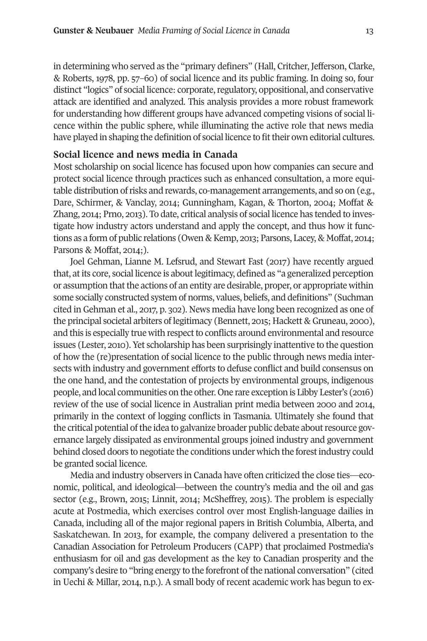in determining who served as the "primary definers" (Hall, Critcher, Jefferson, Clarke, & Roberts, 1978, pp. 57–60) of social licence and its public framing. In doing so, four distinct "logics" of social licence: corporate, regulatory, oppositional, and conservative attack are identified and analyzed. This analysis provides a more robust framework for understanding how different groups have advanced competing visions of social licence within the public sphere, while illuminating the active role that news media have played in shaping the definition of social licence to fit their own editorial cultures.

## **Social licence and news media in Canada**

Most scholarship on social licence has focused upon how companies can secure and protect social licence through practices such as enhanced consultation, a more equitable distribution ofrisks and rewards, co-management arrangements, and so on (e.g., Dare, Schirmer, & Vanclay, 2014; Gunningham, Kagan, & Thorton, 2004; Moffat & Zhang, 2014; Prno, 2013). To date, critical analysis of social licence has tended to investigate how industry actors understand and apply the concept, and thus how it functions as a form of public relations (Owen & Kemp, 2013; Parsons, Lacey, & Moffat, 2014; Parsons & Moffat, 2014;).

Joel Gehman, Lianne M. Lefsrud, and Stewart Fast (2017) have recently argued that, at its core, social licence is about legitimacy, defined as "a generalized perception or assumption that the actions of an entity are desirable, proper, or appropriate within some socially constructed system of norms, values, beliefs, and definitions" (Suchman cited in Gehman et al., 2017, p. 302). News media have long been recognized as one of the principal societal arbiters of legitimacy (Bennett, 2015; Hackett & Gruneau, 2000), and this is especially true with respect to conflicts around environmental and resource issues (Lester, 2010). Yet scholarship has been surprisingly inattentive to the question of how the (re)presentation of social licence to the public through news media intersects with industry and government efforts to defuse conflict and build consensus on the one hand, and the contestation of projects by environmental groups, indigenous people, and local communities on the other. One rare exception is Libby Lester's (2016) review of the use of social licence in Australian print media between 2000 and 2014, primarily in the context of logging conflicts in Tasmania. Ultimately she found that the critical potential of the idea to galvanize broader public debate about resource governance largely dissipated as environmental groups joined industry and government behind closed doors to negotiate the conditions under which the forestindustry could be granted social licence.

Media and industry observers in Canada have often criticized the close ties—economic, political, and ideological—between the country's media and the oil and gas sector (e.g., Brown, 2015; Linnit, 2014; McSheffrey, 2015). The problem is especially acute at Postmedia, which exercises control over most English-language dailies in Canada, including all of the major regional papers in British Columbia, Alberta, and Saskatchewan. In 2013, for example, the company delivered a presentation to the Canadian Association for Petroleum Producers (CAPP) that proclaimed Postmedia's enthusiasm for oil and gas development as the key to Canadian prosperity and the company's desire to "bring energy to the forefront of the national conversation" (cited in Uechi & Millar, 2014, n.p.). A small body of recent academic work has begun to ex-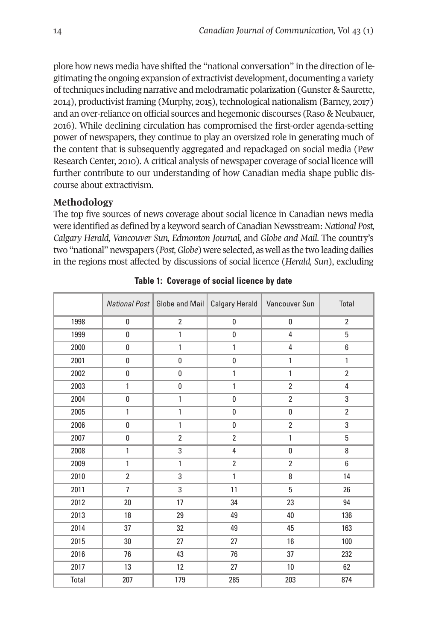plore how news media have shifted the "national conversation" in the direction of legitimating the ongoing expansion of extractivist development, documenting a variety oftechniques including narrative and melodramatic polarization (Gunster & Saurette, 2014), productivist framing (Murphy, 2015), technological nationalism (Barney, 2017) and an over-reliance on official sources and hegemonic discourses (Raso & Neubauer, 2016). While declining circulation has compromised the first-order agenda-setting power of newspapers, they continue to play an oversized role in generating much of the content that is subsequently aggregated and repackaged on social media (Pew Research Center, 2010). A critical analysis of newspaper coverage of social licence will further contribute to our understanding of how Canadian media shape public discourse about extractivism.

## **Methodology**

The top five sources of news coverage about social licence in Canadian news media were identified as defined by a keyword search of Canadian Newsstream:*National Post, Calgary Herald, Vancouver Sun, Edmonton Journal,* and *Globe and Mail*. The country's two "national" newspapers (*Post,Globe*) were selected, as well as the two leading dailies in the regions most affected by discussions of social licence (*Herald, Sun*), excluding

|       |                |                |                | National Post   Globe and Mail   Calgary Herald   Vancouver Sun | Total          |
|-------|----------------|----------------|----------------|-----------------------------------------------------------------|----------------|
| 1998  | 0              | $\overline{2}$ | 0              | 0                                                               | $\overline{2}$ |
| 1999  | 0              | 1              | 0              | 4                                                               | 5              |
| 2000  | 0              | 1              | 1              | 4                                                               | 6              |
| 2001  | 0              | 0              | 0              | 1                                                               | 1              |
| 2002  | 0              | 0              | 1              | 1                                                               | $\overline{2}$ |
| 2003  | 1              | 0              | 1              | $\overline{2}$                                                  | 4              |
| 2004  | 0              | 1              | 0              | $\overline{2}$                                                  | 3              |
| 2005  | 1              | 1              | 0              | 0                                                               | $\overline{2}$ |
| 2006  | 0              | 1              | 0              | $\overline{2}$                                                  | 3              |
| 2007  | 0              | $\overline{2}$ | $\overline{2}$ | 1                                                               | 5              |
| 2008  | 1              | 3              | 4              | 0                                                               | 8              |
| 2009  | 1              | 1              | $\overline{2}$ | $\overline{2}$                                                  | 6              |
| 2010  | $\overline{2}$ | 3              | 1              | 8                                                               | 14             |
| 2011  | $\overline{7}$ | 3              | 11             | 5                                                               | 26             |
| 2012  | 20             | 17             | 34             | 23                                                              | 94             |
| 2013  | 18             | 29             | 49             | 40                                                              | 136            |
| 2014  | 37             | 32             | 49             | 45                                                              | 163            |
| 2015  | 30             | 27             | 27             | 16                                                              | 100            |
| 2016  | 76             | 43             | 76             | 37                                                              | 232            |
| 2017  | 13             | 12             | 27             | 10                                                              | 62             |
| Total | 207            | 179            | 285            | 203                                                             | 874            |

**Table 1: Coverage of social licence by date**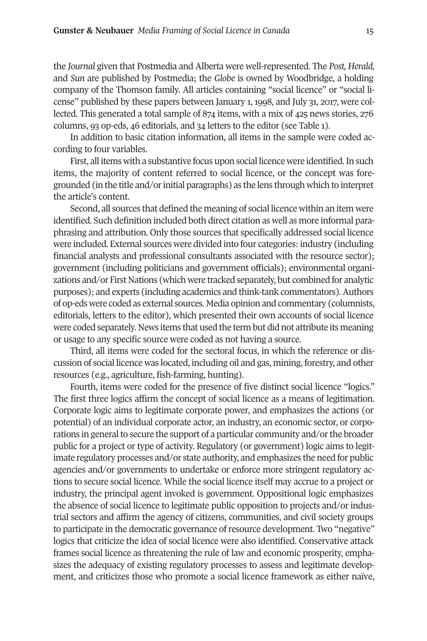the *Journal* given that Postmedia and Alberta were well-represented. The *Post, Herald,* and *Sun* are published by Postmedia; the *Globe* is owned by Woodbridge, a holding company of the Thomson family. All articles containing "social licence" or "social license" published by these papers between January 1, 1998, and July 31, 2017, were collected. This generated a total sample of 874 items, with a mix of 425 news stories, 276 columns, 93 op-eds, 46 editorials, and 34 letters to the editor (see Table 1).

In addition to basic citation information, all items in the sample were coded according to four variables.

First, all items with a substantive focus upon social licence were identified.In such items, the majority of content referred to social licence, or the concept was foregrounded (in the title and/orinitial paragraphs) as the lens through which to interpret the article's content.

Second, all sources that defined the meaning of social licence within an item were identified. Such definition included both direct citation as well as more informal paraphrasing and attribution. Only those sources that specifically addressed social licence were included. External sources were divided into four categories: industry (including financial analysts and professional consultants associated with the resource sector); government (including politicians and government officials); environmental organizations and/or First Nations (which were tracked separately, but combined for analytic purposes); and experts (including academics and think-tank commentators).Authors of op-eds were coded as external sources. Media opinion and commentary (columnists, editorials, letters to the editor), which presented their own accounts of social licence were coded separately. News items that used the term but did not attribute its meaning or usage to any specific source were coded as not having a source.

Third, all items were coded for the sectoral focus, in which the reference or discussion of social licence was located, including oil and gas, mining, forestry, and other resources (e.g., agriculture, fish-farming, hunting).

Fourth, items were coded for the presence of five distinct social licence "logics." The first three logics affirm the concept of social licence as a means of legitimation. Corporate logic aims to legitimate corporate power, and emphasizes the actions (or potential) of an individual corporate actor, an industry, an economic sector, or corporations in general to secure the support of a particular community and/or the broader public for a project or type of activity. Regulatory (or government) logic aims to legitimate regulatory processes and/or state authority, and emphasizes the need for public agencies and/or governments to undertake or enforce more stringent regulatory actions to secure social licence. While the social licence itself may accrue to a project or industry, the principal agent invoked is government. Oppositional logic emphasizes the absence of social licence to legitimate public opposition to projects and/or industrial sectors and affirm the agency of citizens, communities, and civil society groups to participate in the democratic governance ofresource development. Two "negative" logics that criticize the idea of social licence were also identified. Conservative attack frames social licence as threatening the rule of law and economic prosperity, emphasizes the adequacy of existing regulatory processes to assess and legitimate development, and criticizes those who promote a social licence framework as either naïve,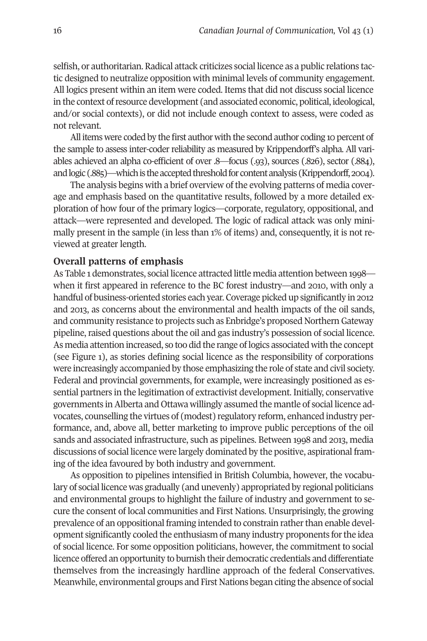selfish, or authoritarian. Radical attack criticizes social licence as a public relations tactic designed to neutralize opposition with minimal levels of community engagement. All logics present within an item were coded. Items that did not discuss social licence in the context ofresource development (and associated economic, political, ideological, and/or social contexts), or did not include enough context to assess, were coded as not relevant.

All items were coded by the first author with the second author coding 10 percent of the sample to assess inter-coder reliability as measured by Krippendorff's alpha. All variables achieved an alpha co-efficient of over .8—focus (.93), sources (.826), sector (.884), and logic (.885)—which is the accepted threshold for content analysis (Krippendorff, 2004).

The analysis begins with a brief overview of the evolving patterns of media coverage and emphasis based on the quantitative results, followed by a more detailed exploration of how four of the primary logics—corporate, regulatory, oppositional, and attack—were represented and developed. The logic of radical attack was only minimally present in the sample (in less than 1% of items) and, consequently, it is not reviewed at greater length.

#### **Overall patterns of emphasis**

As Table 1 demonstrates, social licence attracted little media attention between 1998 when it first appeared in reference to the BC forest industry—and 2010, with only a handful of business-oriented stories each year. Coverage picked up significantly in 2012 and 2013, as concerns about the environmental and health impacts of the oil sands, and community resistance to projects such as Enbridge's proposed Northern Gateway pipeline, raised questions about the oil and gas industry's possession of social licence. As media attention increased, so too did the range of logics associated with the concept (see Figure 1), as stories defining social licence as the responsibility of corporations were increasingly accompanied by those emphasizing the role of state and civil society. Federal and provincial governments, for example, were increasingly positioned as essential partners in the legitimation of extractivist development. Initially, conservative governments inAlberta and Ottawa willingly assumed the mantle of social licence advocates, counselling the virtues of (modest) regulatory reform, enhanced industry performance, and, above all, better marketing to improve public perceptions of the oil sands and associated infrastructure, such as pipelines. Between 1998 and 2013, media discussions of social licence were largely dominated by the positive, aspirational framing of the idea favoured by both industry and government.

As opposition to pipelines intensified in British Columbia, however, the vocabulary of social licence was gradually (and unevenly) appropriated by regional politicians and environmental groups to highlight the failure of industry and government to secure the consent of local communities and First Nations. Unsurprisingly, the growing prevalence of an oppositional framing intended to constrain rather than enable development significantly cooled the enthusiasm of many industry proponents forthe idea of social licence. For some opposition politicians, however, the commitment to social licence offered an opportunity to burnish their democratic credentials and differentiate themselves from the increasingly hardline approach of the federal Conservatives. Meanwhile, environmental groups and First Nations began citing the absence of social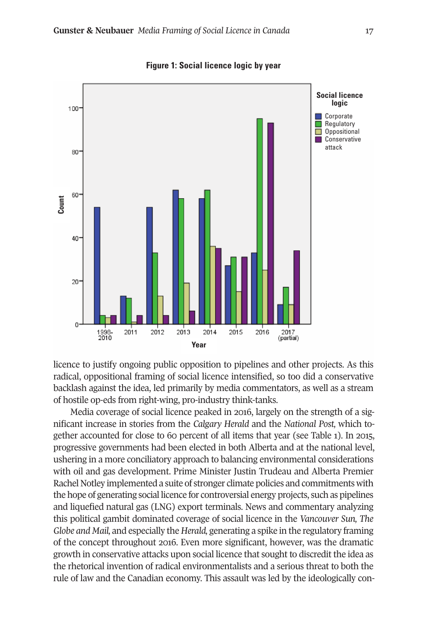

**Figure 1: Social licence logic by year**

licence to justify ongoing public opposition to pipelines and other projects. As this radical, oppositional framing of social licence intensified, so too did a conservative backlash against the idea, led primarily by media commentators, as well as a stream of hostile op-eds from right-wing, pro-industry think-tanks.

Media coverage of social licence peaked in 2016, largely on the strength of a significant increase in stories from the *Calgary Herald* and the *National Post,* which together accounted for close to 60 percent of all items that year (see Table 1). In 2015, progressive governments had been elected in both Alberta and at the national level, ushering in a more conciliatory approach to balancing environmental considerations with oil and gas development. Prime Minister Justin Trudeau and Alberta Premier Rachel Notley implemented a suite of stronger climate policies and commitments with the hope of generating social licence for controversial energy projects, such as pipelines and liquefied natural gas (LNG) export terminals. News and commentary analyzing this political gambit dominated coverage of social licence in the *Vancouver Sun, The Globe and Mail,* and especially the *Herald,* generating a spike in the regulatory framing of the concept throughout 2016. Even more significant, however, was the dramatic growth in conservative attacks upon social licence that sought to discredit the idea as the rhetorical invention of radical environmentalists and a serious threat to both the rule of law and the Canadian economy. This assault was led by the ideologically con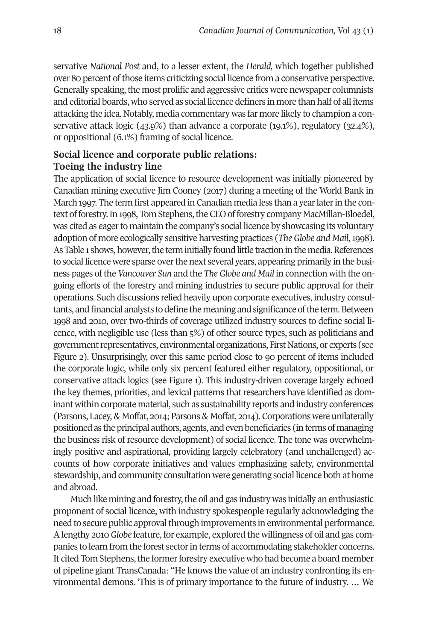servative *National Post* and, to a lesser extent, the *Herald,* which together published over 80 percent ofthose items criticizing social licence from a conservative perspective. Generally speaking, the most prolific and aggressive critics were newspaper columnists and editorial boards, who served as social licence definers in more than half of all items attacking the idea. Notably, media commentary was far more likely to champion a conservative attack logic (43.9%) than advance a corporate (19.1%), regulatory (32.4%), or oppositional (6.1%) framing of social licence.

## **Social licence and corporate public relations: Toeing the industry line**

The application of social licence to resource development was initially pioneered by Canadian mining executive Jim Cooney (2017) during a meeting of the World Bank in March 1997. The term first appeared in Canadian media less than a year later in the context of forestry. In 1998, Tom Stephens, the CEO of forestry company MacMillan-Bloedel, was cited as eager to maintain the company's social licence by showcasing its voluntary adoption of more ecologically sensitive harvesting practices (*The Globe and Mail*,1998). As Table 1 shows, however, the term initially found little traction in the media. References to social licence were sparse overthe next several years, appearing primarily in the business pages of the *Vancouver Sun* and the *The Globe and Mail* in connection with the ongoing efforts of the forestry and mining industries to secure public approval for their operations. Such discussions relied heavily upon corporate executives, industry consultants, and financial analysts to define the meaning and significance of the term. Between 1998 and 2010, over two-thirds of coverage utilized industry sources to define social licence, with negligible use (less than 5%) of other source types, such as politicians and government representatives, environmental organizations, First Nations, or experts (see Figure 2). Unsurprisingly, over this same period close to 90 percent of items included the corporate logic, while only six percent featured either regulatory, oppositional, or conservative attack logics (see Figure 1). This industry-driven coverage largely echoed the key themes, priorities, and lexical patterns that researchers have identified as dominant within corporate material, such as sustainability reports and industry conferences (Parsons, Lacey,& Moffat, 2014; Parsons& Moffat, 2014).Corporationswere unilaterally positioned as the principal authors, agents, and even beneficiaries (in terms of managing the business risk of resource development) of social licence. The tone was overwhelmingly positive and aspirational, providing largely celebratory (and unchallenged) accounts of how corporate initiatives and values emphasizing safety, environmental stewardship, and community consultation were generating social licence both at home and abroad.

Much like mining and forestry, the oil and gas industry was initially an enthusiastic proponent of social licence, with industry spokespeople regularly acknowledging the need to secure public approval through improvements in environmental performance. Alengthy 2010*Globe* feature, for example, explored the willingness of oil and gas companies to learn from the forest sectorin terms of accommodating stakeholder concerns. It cited Tom Stephens, the former forestry executive who had become a board member of pipeline giant TransCanada: "He knows the value of an industry confronting its environmental demons. 'This is of primary importance to the future of industry. … We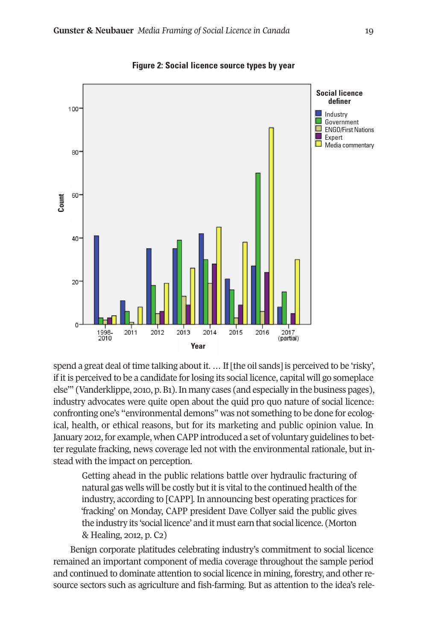

**Figure 2: Social licence source types by year**

spend a great deal of time talking about it. … If [the oil sands] is perceived to be 'risky', if it is perceived to be a candidate for losing its social licence, capital will go someplace else'" (Vanderklippe, 2010, p. B1). In many cases (and especially in the business pages), industry advocates were quite open about the quid pro quo nature of social licence: confronting one's "environmental demons" was not something to be done for ecological, health, or ethical reasons, but for its marketing and public opinion value. In January 2012, for example, when CAPP introduced a set of voluntary guidelines to better regulate fracking, news coverage led not with the environmental rationale, but instead with the impact on perception.

Getting ahead in the public relations battle over hydraulic fracturing of natural gas wells will be costly but it is vital to the continued health of the industry, according to [CAPP]. In announcing best operating practices for 'fracking' on Monday, CAPP president Dave Collyer said the public gives the industry its 'social licence' and it must earn that social licence. (Morton & Healing, 2012, p. C2)

Benign corporate platitudes celebrating industry's commitment to social licence remained an important component of media coverage throughout the sample period and continued to dominate attention to social licence in mining, forestry, and other resource sectors such as agriculture and fish-farming. But as attention to the idea's rele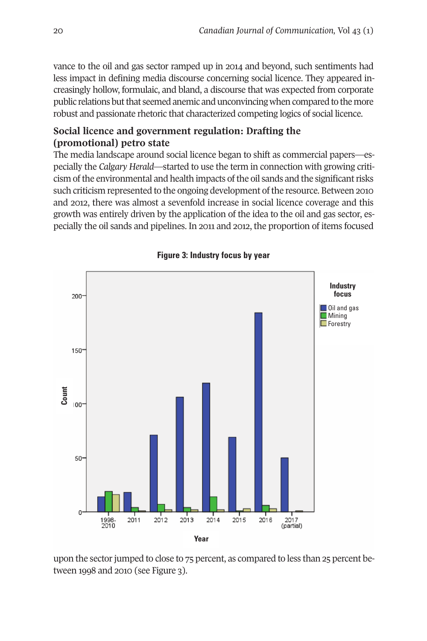vance to the oil and gas sector ramped up in 2014 and beyond, such sentiments had less impact in defining media discourse concerning social licence. They appeared increasingly hollow, formulaic, and bland, a discourse that was expected from corporate public relations but that seemed anemic and unconvincing when compared to the more robust and passionate rhetoric that characterized competing logics of social licence.

## **Social licence and government regulation: Drafting the (promotional) petro state**

The media landscape around social licence began to shift as commercial papers—especially the *Calgary Herald*—started to use the term in connection with growing criticism ofthe environmental and health impacts ofthe oil sands and the significantrisks such criticism represented to the ongoing development of the resource. Between 2010 and 2012, there was almost a sevenfold increase in social licence coverage and this growth was entirely driven by the application of the idea to the oil and gas sector, especially the oil sands and pipelines. In 2011 and 2012, the proportion of items focused



**Figure 3: Industry focus by year**

upon the sector jumped to close to 75 percent, as compared to less than 25 percent between 1998 and 2010 (see Figure 3).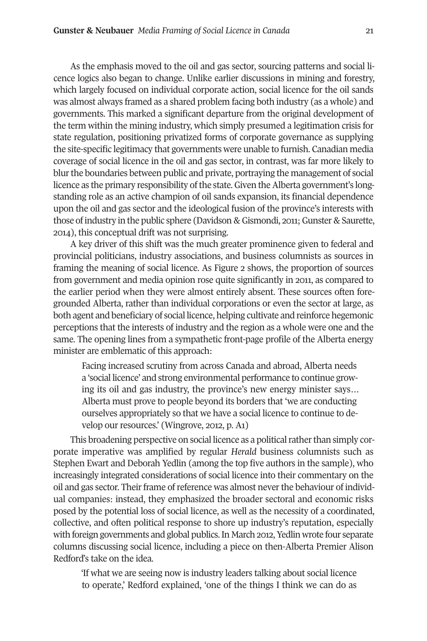As the emphasis moved to the oil and gas sector, sourcing patterns and social licence logics also began to change. Unlike earlier discussions in mining and forestry, which largely focused on individual corporate action, social licence for the oil sands was almost always framed as a shared problem facing both industry (as a whole) and governments. This marked a significant departure from the original development of the term within the mining industry, which simply presumed a legitimation crisis for state regulation, positioning privatized forms of corporate governance as supplying the site-specific legitimacy that governments were unable to furnish. Canadian media coverage of social licence in the oil and gas sector, in contrast, was far more likely to blurthe boundaries between public and private, portraying the management of social licence as the primary responsibility of the state. Given the Alberta government's longstanding role as an active champion of oil sands expansion, its financial dependence upon the oil and gas sector and the ideological fusion of the province's interests with those of industry in the public sphere (Davidson & Gismondi, 2011; Gunster & Saurette, 2014), this conceptual drift was not surprising.

A key driver of this shift was the much greater prominence given to federal and provincial politicians, industry associations, and business columnists as sources in framing the meaning of social licence. As Figure 2 shows, the proportion of sources from government and media opinion rose quite significantly in 2011, as compared to the earlier period when they were almost entirely absent. These sources often foregrounded Alberta, rather than individual corporations or even the sector at large, as both agent and beneficiary of social licence, helping cultivate and reinforce hegemonic perceptions that the interests of industry and the region as a whole were one and the same. The opening lines from a sympathetic front-page profile of the Alberta energy minister are emblematic of this approach:

Facing increased scrutiny from across Canada and abroad, Alberta needs a 'social licence' and strong environmental performance to continue growing its oil and gas industry, the province's new energy minister says… Alberta must prove to people beyond its borders that 'we are conducting ourselves appropriately so that we have a social licence to continue to develop our resources.' (Wingrove, 2012, p. A1)

This broadening perspective on social licence as a political rather than simply corporate imperative was amplified by regular *Herald* business columnists such as Stephen Ewart and Deborah Yedlin (among the top five authors in the sample), who increasingly integrated considerations of social licence into their commentary on the oil and gas sector. Their frame of reference was almost never the behaviour of individual companies: instead, they emphasized the broader sectoral and economic risks posed by the potential loss of social licence, as well as the necessity of a coordinated, collective, and often political response to shore up industry's reputation, especially with foreign governments and global publics. In March 2012, Yedlin wrote four separate columns discussing social licence, including a piece on then-Alberta Premier Alison Redford's take on the idea.

'If what we are seeing now is industry leaders talking about social licence to operate,' Redford explained, 'one of the things I think we can do as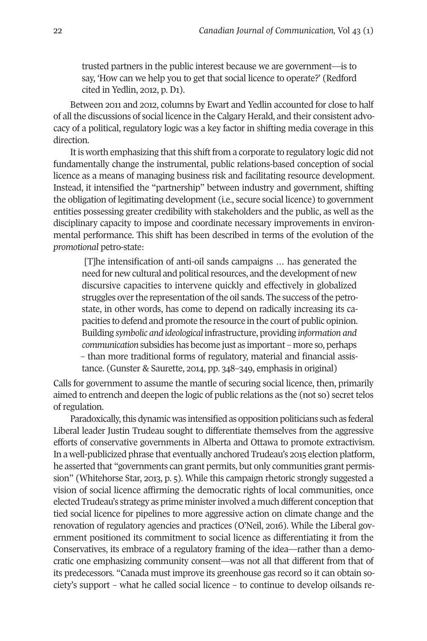trusted partners in the public interest because we are government—is to say, 'How can we help you to get that social licence to operate?' (Redford cited in Yedlin, 2012, p. D1).

Between 2011 and 2012, columns by Ewart and Yedlin accounted for close to half of all the discussions of social licence in the Calgary Herald, and their consistent advocacy of a political, regulatory logic was a key factor in shifting media coverage in this direction.

It is worth emphasizing that this shift from a corporate to regulatory logic did not fundamentally change the instrumental, public relations-based conception of social licence as a means of managing business risk and facilitating resource development. Instead, it intensified the "partnership" between industry and government, shifting the obligation of legitimating development (i.e., secure social licence) to government entities possessing greater credibility with stakeholders and the public, as well as the disciplinary capacity to impose and coordinate necessary improvements in environmental performance. This shift has been described in terms of the evolution of the *promotional* petro-state:

[T]he intensification of anti-oil sands campaigns … has generated the need for new cultural and political resources, and the development of new discursive capacities to intervene quickly and effectively in globalized struggles over the representation of the oil sands. The success of the petrostate, in other words, has come to depend on radically increasing its capacities to defend and promote the resource in the court of public opinion. Building *symbolic and ideological* infrastructure, providing *information and communication* subsidies has become just as important – more so, perhaps – than more traditional forms of regulatory, material and financial assistance. (Gunster & Saurette, 2014, pp. 348–349, emphasis in original)

Calls for government to assume the mantle of securing social licence, then, primarily aimed to entrench and deepen the logic of public relations as the (not so) secret telos of regulation.

Paradoxically, this dynamic was intensified as opposition politicians such as federal Liberal leader Justin Trudeau sought to differentiate themselves from the aggressive efforts of conservative governments in Alberta and Ottawa to promote extractivism. In a well-publicized phrase that eventually anchored Trudeau's 2015 election platform, he asserted that "governments can grant permits, but only communities grant permission" (Whitehorse Star, 2013, p. 5). While this campaign rhetoric strongly suggested a vision of social licence affirming the democratic rights of local communities, once elected Trudeau's strategy as prime ministerinvolved a much different conception that tied social licence for pipelines to more aggressive action on climate change and the renovation of regulatory agencies and practices (O'Neil, 2016). While the Liberal government positioned its commitment to social licence as differentiating it from the Conservatives, its embrace of a regulatory framing of the idea—rather than a democratic one emphasizing community consent—was not all that different from that of its predecessors. "Canada must improve its greenhouse gas record so it can obtain society's support – what he called social licence – to continue to develop oilsands re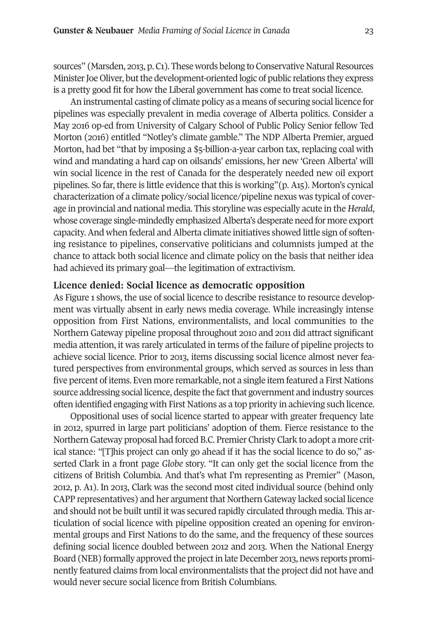sources" (Marsden, 2013, p. C1). These words belong to Conservative Natural Resources Minister Joe Oliver, but the development-oriented logic of public relations they express is a pretty good fit for how the Liberal government has come to treat social licence.

An instrumental casting of climate policy as a means of securing social licence for pipelines was especially prevalent in media coverage of Alberta politics. Consider a May 2016 op-ed from University of Calgary School of Public Policy Senior fellow Ted Morton (2016) entitled "Notley's climate gamble." The NDP Alberta Premier, argued Morton, had bet "that by imposing a \$5-billion-a-year carbon tax, replacing coal with wind and mandating a hard cap on oilsands' emissions, her new 'Green Alberta' will win social licence in the rest of Canada for the desperately needed new oil export pipelines. So far, there is little evidence that this is working"(p. A15). Morton's cynical characterization of a climate policy/social licence/pipeline nexus was typical of coverage in provincial and national media. This storyline was especially acute in the *Herald*, whose coverage single-mindedly emphasized Alberta's desperate need for more export capacity. And when federal and Alberta climate initiatives showed little sign of softening resistance to pipelines, conservative politicians and columnists jumped at the chance to attack both social licence and climate policy on the basis that neither idea had achieved its primary goal—the legitimation of extractivism.

## **Licence denied: Social licence as democratic opposition**

As Figure 1 shows, the use of social licence to describe resistance to resource development was virtually absent in early news media coverage. While increasingly intense opposition from First Nations, environmentalists, and local communities to the Northern Gateway pipeline proposal throughout 2010 and 2011 did attract significant media attention, it was rarely articulated in terms of the failure of pipeline projects to achieve social licence. Prior to 2013, items discussing social licence almost never featured perspectives from environmental groups, which served as sources in less than five percent of items. Even more remarkable, not a single item featured a First Nations source addressing social licence, despite the fact that government and industry sources often identified engaging with First Nations as a top priority in achieving such licence.

Oppositional uses of social licence started to appear with greater frequency late in 2012, spurred in large part politicians' adoption of them. Fierce resistance to the NorthernGateway proposal had forced B.C. Premier Christy Clark to adopt a more critical stance: "[T]his project can only go ahead if it has the social licence to do so," asserted Clark in a front page *Globe* story. "It can only get the social licence from the citizens of British Columbia. And that's what I'm representing as Premier" (Mason, 2012, p. A1). In 2013, Clark was the second most cited individual source (behind only CAPP representatives) and her argumentthat Northern Gateway lacked social licence and should not be built until it was secured rapidly circulated through media. This articulation of social licence with pipeline opposition created an opening for environmental groups and First Nations to do the same, and the frequency of these sources defining social licence doubled between 2012 and 2013. When the National Energy Board (NEB) formally approved the project in late December 2013, news reports prominently featured claims from local environmentalists that the project did not have and would never secure social licence from British Columbians.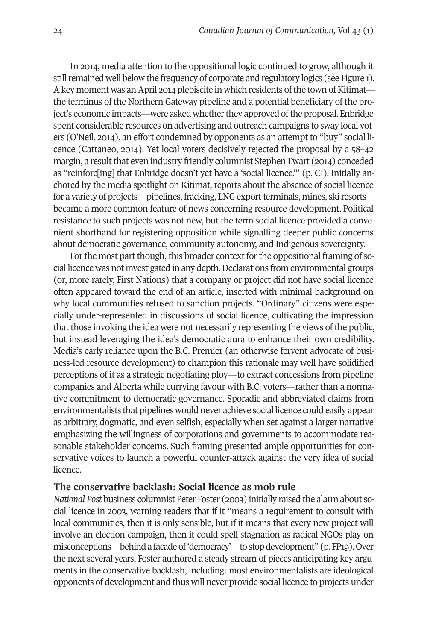In 2014, media attention to the oppositional logic continued to grow, although it still remained well below the frequency of corporate and regulatory logics (see Figure 1). A key moment was an April 2014 plebiscite in which residents of the town of Kitimat the terminus of the Northern Gateway pipeline and a potential beneficiary of the project's economic impacts—were asked whether they approved of the proposal. Enbridge spent considerable resources on advertising and outreach campaigns to sway local voters (O'Neil, 2014), an effort condemned by opponents as an attempt to "buy" social licence (Cattaneo, 2014). Yet local voters decisively rejected the proposal by a 58–42 margin, a result that even industry friendly columnist Stephen Ewart (2014) conceded as "reinforc[ing] that Enbridge doesn't yet have a 'social licence.'" (p. C1). Initially anchored by the media spotlight on Kitimat, reports about the absence of social licence for a variety of projects—pipelines, fracking, LNG export terminals, mines, ski resorts became a more common feature of news concerning resource development. Political resistance to such projects was not new, but the term social licence provided a convenient shorthand for registering opposition while signalling deeper public concerns about democratic governance, community autonomy, and Indigenous sovereignty.

For the most part though, this broader context for the oppositional framing of social licence was notinvestigated in any depth.Declarations from environmental groups (or, more rarely, First Nations) that a company or project did not have social licence often appeared toward the end of an article, inserted with minimal background on why local communities refused to sanction projects. "Ordinary" citizens were especially under-represented in discussions of social licence, cultivating the impression that those invoking the idea were not necessarily representing the views of the public, but instead leveraging the idea's democratic aura to enhance their own credibility. Media's early reliance upon the B.C. Premier (an otherwise fervent advocate of business-led resource development) to champion this rationale may well have solidified perceptions of it as a strategic negotiating ploy—to extract concessions from pipeline companies and Alberta while currying favour with B.C. voters—rather than a normative commitment to democratic governance. Sporadic and abbreviated claims from environmentalists that pipelines would never achieve social licence could easily appear as arbitrary, dogmatic, and even selfish, especially when set against a larger narrative emphasizing the willingness of corporations and governments to accommodate reasonable stakeholder concerns. Such framing presented ample opportunities for conservative voices to launch a powerful counter-attack against the very idea of social licence.

## **The conservative backlash: Social licence as mob rule**

*National Post* business columnist Peter Foster (2003) initially raised the alarm about social licence in 2003, warning readers that if it "means a requirement to consult with local communities, then it is only sensible, but if it means that every new project will involve an election campaign, then it could spell stagnation as radical NGOs play on misconceptions—behind a facade of 'democracy'—to stop development'' (p. FP19). Over the next several years, Foster authored a steady stream of pieces anticipating key arguments in the conservative backlash, including: most environmentalists are ideological opponents of development and thus will never provide social licence to projects under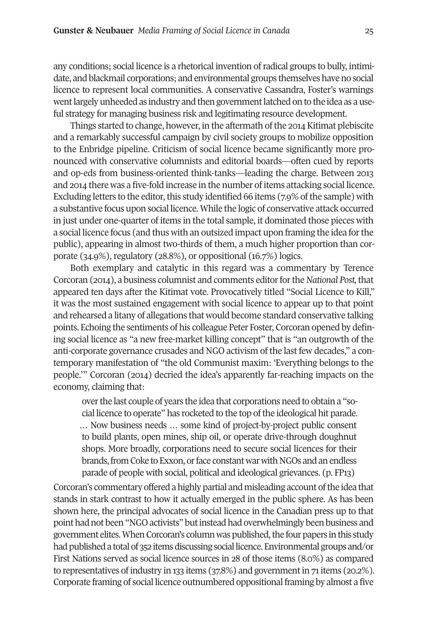any conditions; social licence is a rhetorical invention ofradical groups to bully, intimidate, and blackmail corporations; and environmental groups themselves have no social licence to represent local communities. A conservative Cassandra, Foster's warnings went largely unheeded as industry and then government latched on to the idea as a useful strategy for managing business risk and legitimating resource development.

Things started to change, however, in the aftermath of the 2014 Kitimat plebiscite and a remarkably successful campaign by civil society groups to mobilize opposition to the Enbridge pipeline. Criticism of social licence became significantly more pronounced with conservative columnists and editorial boards—often cued by reports and op-eds from business-oriented think-tanks—leading the charge. Between 2013 and 2014 there was a five-fold increase in the number of items attacking social licence. Excluding letters to the editor, this study identified 66 items  $(7.9\%$  of the sample) with a substantive focus upon social licence. While the logic of conservative attack occurred in just under one-quarter of items in the total sample, it dominated those pieces with a social licence focus (and thus with an outsized impact upon framing the idea forthe public), appearing in almost two-thirds of them, a much higher proportion than corporate (34.9%), regulatory (28.8%), or oppositional (16.7%) logics.

Both exemplary and catalytic in this regard was a commentary by Terence Corcoran (2014), a business columnist and comments editorforthe*National Post,*that appeared ten days after the Kitimat vote. Provocatively titled "Social Licence to Kill," it was the most sustained engagement with social licence to appear up to that point and rehearsed a litany of allegations that would become standard conservative talking points. Echoing the sentiments of his colleague Peter Foster, Corcoran opened by defining social licence as "a new free-market killing concept" that is "an outgrowth of the anti-corporate governance crusades and NGO activism of the last few decades," a contemporary manifestation of "the old Communist maxim: 'Everything belongs to the people.'" Corcoran (2014) decried the idea's apparently far-reaching impacts on the economy, claiming that:

overthe last couple of years the idea that corporations need to obtain a "social licence to operate" has rocketed to the top of the ideological hit parade. … Now business needs … some kind of project-by-project public consent to build plants, open mines, ship oil, or operate drive-through doughnut shops. More broadly, corporations need to secure social licences for their brands, from Coke to Exxon, or face constant war with NGOs and an endless parade of people with social, political and ideological grievances. (p. FP13)

Corcoran's commentary offered a highly partial and misleading account ofthe idea that stands in stark contrast to how it actually emerged in the public sphere. As has been shown here, the principal advocates of social licence in the Canadian press up to that point had not been "NGO activists" butinstead had overwhelmingly been business and government elites. When Corcoran's column was published, the four papers in this study had published a total of 352 items discussing social licence. Environmental groups and/or First Nations served as social licence sources in 28 of those items (8.0%) as compared to representatives of industry in 133 items (37.8%) and government in 71 items (20.2%). Corporate framing of social licence outnumbered oppositional framing by almost a five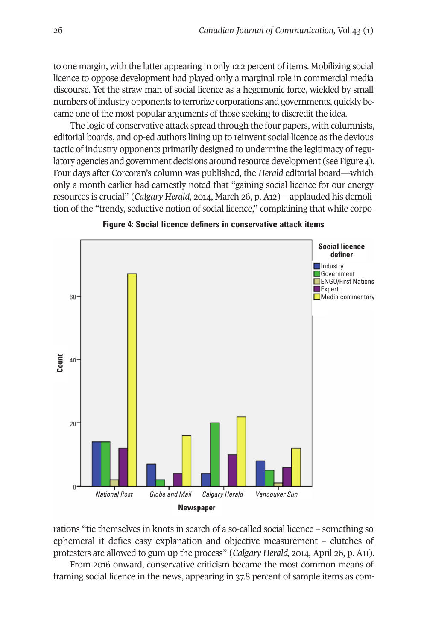to one margin, with the latter appearing in only 12.2 percent of items. Mobilizing social licence to oppose development had played only a marginal role in commercial media discourse. Yet the straw man of social licence as a hegemonic force, wielded by small numbers of industry opponents to terrorize corporations and governments, quickly became one of the most popular arguments of those seeking to discredit the idea.

The logic of conservative attack spread through the four papers, with columnists, editorial boards, and op-ed authors lining up to reinvent social licence as the devious tactic of industry opponents primarily designed to undermine the legitimacy of regulatory agencies and government decisions around resource development (see Figure 4). Four days after Corcoran's column was published, the *Herald* editorial board—which only a month earlier had earnestly noted that "gaining social licence for our energy resources is crucial" (*Calgary Herald*, 2014, March 26, p. A12)—applauded his demolition of the "trendy, seductive notion of social licence," complaining that while corpo-





rations "tie themselves in knots in search of a so-called social licence – something so ephemeral it defies easy explanation and objective measurement – clutches of protesters are allowed to gum up the process" (*Calgary Herald,* 2014, April 26, p. A11).

From 2016 onward, conservative criticism became the most common means of framing social licence in the news, appearing in 37.8 percent of sample items as com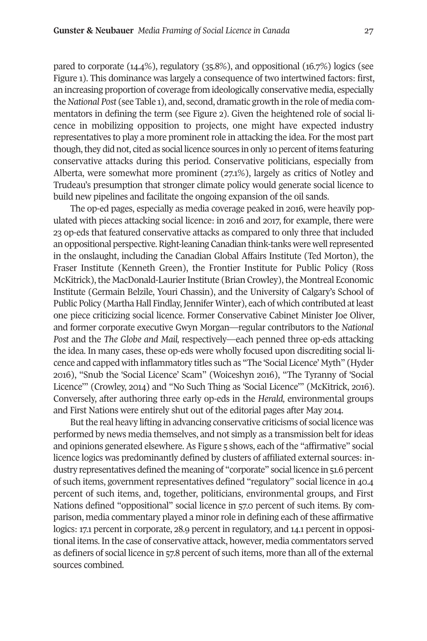pared to corporate (14.4%), regulatory (35.8%), and oppositional (16.7%) logics (see Figure 1). This dominance was largely a consequence of two intertwined factors: first, an increasing proportion of coverage from ideologically conservative media, especially the*National Post* (see Table 1), and, second, dramatic growth in the role of media commentators in defining the term (see Figure 2). Given the heightened role of social licence in mobilizing opposition to projects, one might have expected industry representatives to play a more prominent role in attacking the idea. For the most part though, they did not, cited as social licence sources in only 10 percent of items featuring conservative attacks during this period. Conservative politicians, especially from Alberta, were somewhat more prominent (27.1%), largely as critics of Notley and Trudeau's presumption that stronger climate policy would generate social licence to build new pipelines and facilitate the ongoing expansion of the oil sands.

The op-ed pages, especially as media coverage peaked in 2016, were heavily populated with pieces attacking social licence: in 2016 and 2017, for example, there were 23 op-eds that featured conservative attacks as compared to only three that included an oppositional perspective. Right-leaning Canadian think-tanks were well represented in the onslaught, including the Canadian Global Affairs Institute (Ted Morton), the Fraser Institute (Kenneth Green), the Frontier Institute for Public Policy (Ross McKitrick), the MacDonald-Laurier Institute (Brian Crowley), the Montreal Economic Institute (Germain Belzile, Youri Chassin), and the University of Calgary's School of Public Policy (Martha Hall Findlay, Jennifer Winter), each of which contributed at least one piece criticizing social licence. Former Conservative Cabinet Minister Joe Oliver, and former corporate executive Gwyn Morgan—regular contributors to the *National Post* and the *The Globe and Mail,* respectively—each penned three op-eds attacking the idea. In many cases, these op-eds were wholly focused upon discrediting social licence and capped with inflammatory titles such as "The 'Social Licence' Myth" (Hyder 2016), "Snub the 'Social Licence' Scam" (Woiceshyn 2016), "The Tyranny of 'Social Licence'" (Crowley, 2014) and "No Such Thing as 'Social Licence'" (McKitrick, 2016). Conversely, after authoring three early op-eds in the *Herald,* environmental groups and First Nations were entirely shut out of the editorial pages after May 2014.

But the real heavy lifting in advancing conservative criticisms of social licence was performed by news media themselves, and not simply as a transmission belt forideas and opinions generated elsewhere. As Figure 5 shows, each of the "affirmative" social licence logics was predominantly defined by clusters of affiliated external sources: industry representatives defined the meaning of "corporate" social licence in 51.6 percent of such items, government representatives defined "regulatory" social licence in 40.4 percent of such items, and, together, politicians, environmental groups, and First Nations defined "oppositional" social licence in 57.0 percent of such items. By comparison, media commentary played a minor role in defining each of these affirmative logics: 17.1 percent in corporate, 28.9 percent in regulatory, and 14.1 percent in oppositional items. In the case of conservative attack, however, media commentators served as definers of social licence in 57.8 percent of such items, more than all of the external sources combined.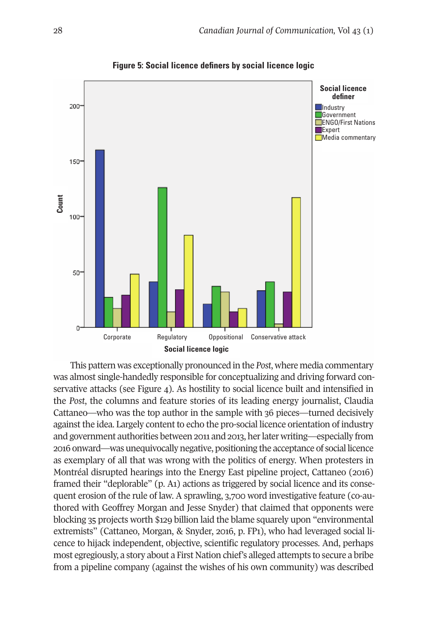

**Figure 5: Social licence definers by social licence logic**

This pattern was exceptionally pronounced in the *Post*, where media commentary was almost single-handedly responsible for conceptualizing and driving forward conservative attacks (see Figure 4). As hostility to social licence built and intensified in the *Post*, the columns and feature stories of its leading energy journalist, Claudia Cattaneo—who was the top author in the sample with 36 pieces—turned decisively against the idea. Largely content to echo the pro-social licence orientation of industry and government authorities between 2011 and 2013, herlater writing—especially from 2016 onward—was unequivocally negative, positioning the acceptance of social licence as exemplary of all that was wrong with the politics of energy. When protesters in Montréal disrupted hearings into the Energy East pipeline project, Cattaneo (2016) framed their "deplorable" (p. A1) actions as triggered by social licence and its consequent erosion of the rule of law. A sprawling, 3,700 word investigative feature (co-authored with Geoffrey Morgan and Jesse Snyder) that claimed that opponents were blocking 35 projects worth \$129 billion laid the blame squarely upon "environmental extremists" (Cattaneo, Morgan, & Snyder, 2016, p. FP1), who had leveraged social licence to hijack independent, objective, scientific regulatory processes. And, perhaps most egregiously, a story about a First Nation chief's alleged attempts to secure a bribe from a pipeline company (against the wishes of his own community) was described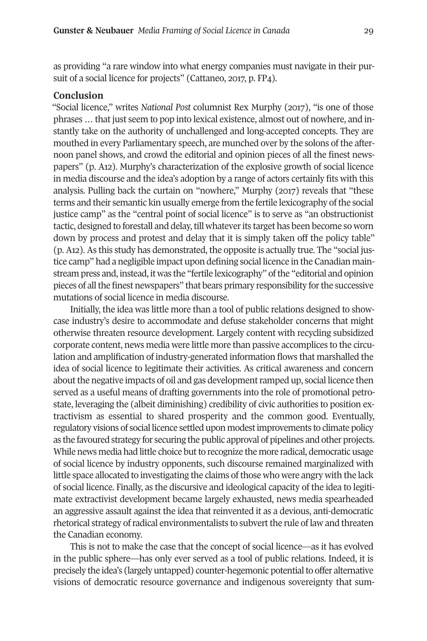as providing "a rare window into what energy companies must navigate in their pursuit of a social licence for projects" (Cattaneo, 2017, p. FP4).

## **Conclusion**

"Social licence," writes *National Post* columnist Rex Murphy (2017), "is one of those phrases … that just seem to pop into lexical existence, almost out of nowhere, and instantly take on the authority of unchallenged and long-accepted concepts. They are mouthed in every Parliamentary speech, are munched over by the solons of the afternoon panel shows, and crowd the editorial and opinion pieces of all the finest newspapers" (p. A12). Murphy's characterization of the explosive growth of social licence in media discourse and the idea's adoption by a range of actors certainly fits with this analysis. Pulling back the curtain on "nowhere," Murphy (2017) reveals that "these terms and their semantic kin usually emerge from the fertile lexicography ofthe social justice camp" as the "central point of social licence" is to serve as "an obstructionist tactic, designed to forestall and delay, till whatever its target has been become so worn down by process and protest and delay that it is simply taken off the policy table" (p. A12). As this study has demonstrated, the opposite is actually true. The "social justice camp" had a negligible impact upon defining social licence in the Canadian mainstream press and, instead, it was the "fertile lexicography" of the "editorial and opinion pieces of all the finest newspapers" that bears primary responsibility for the successive mutations of social licence in media discourse.

Initially, the idea was little more than a tool of public relations designed to showcase industry's desire to accommodate and defuse stakeholder concerns that might otherwise threaten resource development. Largely content with recycling subsidized corporate content, news media were little more than passive accomplices to the circulation and amplification of industry-generated information flows that marshalled the idea of social licence to legitimate their activities. As critical awareness and concern about the negative impacts of oil and gas development ramped up, social licence then served as a useful means of drafting governments into the role of promotional petrostate, leveraging the (albeit diminishing) credibility of civic authorities to position extractivism as essential to shared prosperity and the common good. Eventually, regulatory visions of social licence settled upon modestimprovements to climate policy as the favoured strategy for securing the public approval of pipelines and other projects. While news media had little choice but to recognize the more radical, democratic usage of social licence by industry opponents, such discourse remained marginalized with little space allocated to investigating the claims ofthose who were angry with the lack of social licence. Finally, as the discursive and ideological capacity of the idea to legitimate extractivist development became largely exhausted, news media spearheaded an aggressive assault against the idea that reinvented it as a devious, anti-democratic rhetorical strategy ofradical environmentalists to subvertthe rule of law and threaten the Canadian economy.

This is not to make the case that the concept of social licence—as it has evolved in the public sphere—has only ever served as a tool of public relations. Indeed, it is precisely the idea's (largely untapped) counter-hegemonic potential to offer alternative visions of democratic resource governance and indigenous sovereignty that sum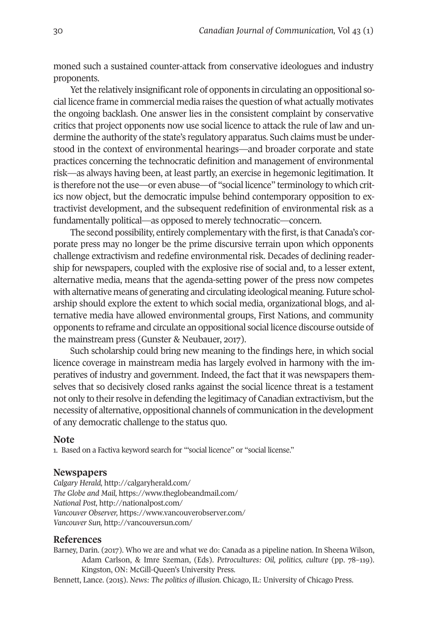moned such a sustained counter-attack from conservative ideologues and industry proponents.

Yet the relatively insignificant role of opponents in circulating an oppositional social licence frame in commercial media raises the question of what actually motivates the ongoing backlash. One answer lies in the consistent complaint by conservative critics that project opponents now use social licence to attack the rule of law and undermine the authority of the state's regulatory apparatus. Such claims must be understood in the context of environmental hearings—and broader corporate and state practices concerning the technocratic definition and management of environmental risk—as always having been, at least partly, an exercise in hegemonic legitimation. It is therefore not the use—or even abuse—of "social licence" terminology to which critics now object, but the democratic impulse behind contemporary opposition to extractivist development, and the subsequent redefinition of environmental risk as a fundamentally political—as opposed to merely technocratic—concern.

The second possibility, entirely complementary with the first, is that Canada's corporate press may no longer be the prime discursive terrain upon which opponents challenge extractivism and redefine environmental risk. Decades of declining readership for newspapers, coupled with the explosive rise of social and, to a lesser extent, alternative media, means that the agenda-setting power of the press now competes with alternative means of generating and circulating ideological meaning. Future scholarship should explore the extent to which social media, organizational blogs, and alternative media have allowed environmental groups, First Nations, and community opponents to reframe and circulate an oppositional social licence discourse outside of the mainstream press (Gunster & Neubauer, 2017).

Such scholarship could bring new meaning to the findings here, in which social licence coverage in mainstream media has largely evolved in harmony with the imperatives of industry and government. Indeed, the fact that it was newspapers themselves that so decisively closed ranks against the social licence threat is a testament not only to their resolve in defending the legitimacy of Canadian extractivism, but the necessity of alternative, oppositional channels of communication in the development of any democratic challenge to the status quo.

#### **Note**

1. Based on a Factiva keyword search for "'social licence" or "social license."

#### **Newspapers**

*Calgary Herald,* <http://calgaryherald.com/> *The Globe and Mail,* <https://www.theglobeandmail.com/> *National Post,* <http://nationalpost.com/> *Vancouver Observer,* <https://www.vancouverobserver.com/> *Vancouver Sun,* <http://vancouversun.com/>

#### **References**

Barney, Darin. (2017). Who we are and what we do: Canada as a pipeline nation. In Sheena Wilson, Adam Carlson, & Imre Szeman, (Eds). *Petrocultures: Oil, politics, culture* (pp. 78–119). Kingston, ON: McGill-Queen's University Press.

Bennett, Lance. (2015). *News: The politics of illusion.* Chicago, IL: University of Chicago Press.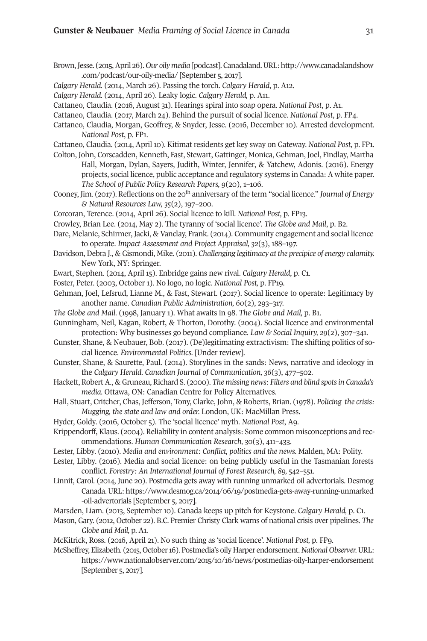- Brown,Jesse. (2015,April 26). *Our oily media* [podcast].Canadaland.URL: [http://www.canadalandshow](http://www.canadalandshow.com/podcast/our-oily-media/) [.com/podcast/our-oily-media/](http://www.canadalandshow.com/podcast/our-oily-media/) [September 5, 2017].
- *Calgary Herald.* (2014, March 26). Passing the torch. *Calgary Herald*, p. A12.
- *Calgary Herald.* (2014, April 26). Leaky logic. *Calgary Herald,* p. A11.
- Cattaneo, Claudia. (2016, August 31). Hearings spiral into soap opera. *National Post*, p. A1.
- Cattaneo, Claudia. (2017, March 24). Behind the pursuit of social licence. *National Post*, p. FP4.
- Cattaneo, Claudia, Morgan, Geoffrey, & Snyder, Jesse. (2016, December 10). Arrested development. *National Post*, p. FP1.
- Cattaneo, Claudia. (2014, April 10). Kitimat residents get key sway on Gateway. *National Post*, p. FP1. Colton, John, Corscadden, Kenneth, Fast, Stewart, Gattinger, Monica, Gehman, Joel, Findlay, Martha
	- Hall, Morgan, Dylan, Sayers, Judith, Winter, Jennifer, & Yatchew, Adonis. (2016). Energy projects, social licence, public acceptance and regulatory systems in Canada: A white paper. *The School of Public Policy Research Papers, 9*(20), 1–106.
- Cooney, Jim. (2017). Reflections on the 20th anniversary of the term "social licence." *Journal of Energy & Natural Resources Law, 35*(2), 197–200.
- Corcoran, Terence. (2014, April 26). Social licence to kill. *National Post,* p. FP13.
- Crowley, Brian Lee. (2014, May 2). The tyranny of 'social licence'. *The Globe and Mail*, p. B2.
- Dare, Melanie, Schirmer, Jacki, & Vanclay, Frank. (2014). Community engagement and social licence to operate. *Impact Assessment and Project Appraisal, 32*(3), 188–197.
- Davidson, Debra J., & Gismondi, Mike. (2011). *Challenging legitimacy at the precipice of energy calamity.* New York, NY: Springer.
- Ewart, Stephen. (2014, April 15). Enbridge gains new rival. *Calgary Herald*, p. C1.
- Foster, Peter. (2003, October 1). No logo, no logic. *National Post,* p. FP19.
- Gehman, Joel, Lefsrud, Lianne M., & Fast, Stewart. (2017). Social licence to operate: Legitimacy by another name. *Canadian Public Administration, 60*(2), 293–317.
- *The Globe and Mail.* (1998, January 1). What awaits in 98. *The Globe and Mail,* p. B1.
- Gunningham, Neil, Kagan, Robert, & Thorton, Dorothy. (2004). Social licence and environmental protection: Why businesses go beyond compliance. *Law & Social Inquiry, 29*(2), 307–341.
- Gunster, Shane, & Neubauer, Bob. (2017). (De)legitimating extractivism: The shifting politics of social licence. *Environmental Politics.* [Under review].
- Gunster, Shane, & Saurette, Paul. (2014). Storylines in the sands: News, narrative and ideology in the *Calgary Herald. Canadian Journal of Communication, 36*(3), 477–502.
- Hackett, Robert A., & Gruneau, Richard S. (2000). *The missing news: Filters and blind spotsin Canada's media.* Ottawa, ON: Canadian Centre for Policy Alternatives.
- Hall, Stuart, Critcher, Chas, Jefferson, Tony, Clarke, John, & Roberts, Brian. (1978). *Policing the crisis: Mugging, the state and law and order.* London, UK: MacMillan Press.
- Hyder, Goldy. (2016, October 5). The 'social licence' myth. *National Post*, A9.
- Krippendorff, Klaus. (2004). Reliability in content analysis: Some common misconceptions and recommendations. *Human Communication Research, 30*(3), 411–433.
- Lester, Libby. (2010). *Media and environment: Conflict, politics and the news.* Malden, MA: Polity.
- Lester, Libby. (2016). Media and social licence: on being publicly useful in the Tasmanian forests conflict. *Forestry: An International Journal of Forest Research, 89,* 542–551.
- Linnit, Carol. (2014, June 20). Postmedia gets away with running unmarked oil advertorials. Desmog Canada.URL: [https://www.desmog.ca/2014/06/19/postmedia-gets-away-running-unmarked](https://www.desmog.ca/2014/06/19/postmedia-gets-away-running-unmarked-oil-advertorials) [-oil-advertorials](https://www.desmog.ca/2014/06/19/postmedia-gets-away-running-unmarked-oil-advertorials) [September 5, 2017].
- Marsden, Liam. (2013, September 10). Canada keeps up pitch for Keystone. *Calgary Herald,* p. C1.
- Mason, Gary. (2012, October 22). B.C. Premier Christy Clark warns of national crisis over pipelines. *The Globe and Mail,* p. A1.
- McKitrick, Ross. (2016, April 21). No such thing as 'social licence'. *National Post,* p. FP9.
- McSheffrey, Elizabeth. (2015, October16). Postmedia's oily Harper endorsement.*National Observer.*URL: <https://www.nationalobserver.com/2015/10/16/news/postmedias-oily-harper-endorsement> [September 5, 2017].